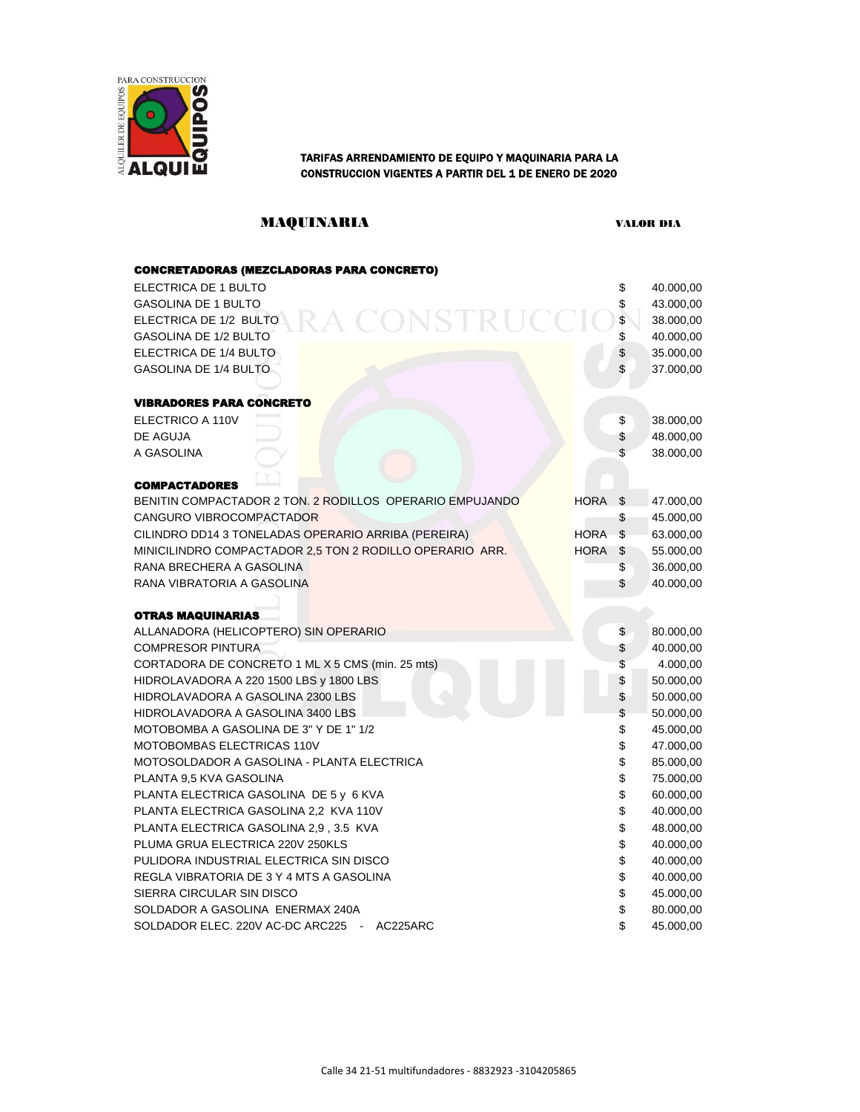

# CONSTRUCCION VIGENTES A PARTIR DEL 1 DE ENERO DE 2020

### MAQUINARIA VALOR DIA

| <b>CONCRETADORAS (MEZCLADORAS PARA CONCRETO)</b>         |             |     |           |
|----------------------------------------------------------|-------------|-----|-----------|
| ELECTRICA DE 1 BULTO                                     |             | \$  | 40.000,00 |
| <b>GASOLINA DE 1 BULTO</b>                               |             |     | 43.000,00 |
| RA CONSTRUCCIO<br>ELECTRICA DE 1/2 BULTO                 |             | \$  | 38.000,00 |
| <b>GASOLINA DE 1/2 BULTO</b>                             |             | \$  | 40.000,00 |
| ELECTRICA DE 1/4 BULTO                                   |             | \$  | 35.000,00 |
| <b>GASOLINA DE 1/4 BULTO</b>                             |             | \$  | 37.000,00 |
|                                                          |             |     |           |
| <b>VIBRADORES PARA CONCRETO</b>                          |             |     |           |
| ELECTRICO A 110V                                         |             | \$  | 38.000,00 |
| DE AGUJA                                                 |             | \$  | 48.000,00 |
| A GASOLINA                                               |             | \$  | 38.000,00 |
|                                                          |             |     |           |
| <b>COMPACTADORES</b>                                     |             |     |           |
| BENITIN COMPACTADOR 2 TON. 2 RODILLOS OPERARIO EMPUJANDO | <b>HORA</b> | -\$ | 47.000,00 |
| CANGURO VIBROCOMPACTADOR                                 |             | \$  | 45.000,00 |
| CILINDRO DD14 3 TONELADAS OPERARIO ARRIBA (PEREIRA)      | <b>HORA</b> | \$  | 63.000,00 |
| MINICILINDRO COMPACTADOR 2,5 TON 2 RODILLO OPERARIO ARR. | <b>HORA</b> | \$  | 55.000,00 |
| RANA BRECHERA A GASOLINA                                 |             | \$  | 36.000,00 |
| RANA VIBRATORIA A GASOLINA                               |             | \$  | 40.000,00 |
|                                                          |             |     |           |
| <b>OTRAS MAQUINARIAS</b>                                 |             |     |           |
| ALLANADORA (HELICOPTERO) SIN OPERARIO                    |             | \$  | 80.000,00 |
| <b>COMPRESOR PINTURA</b>                                 |             | \$  | 40.000,00 |
| CORTADORA DE CONCRETO 1 ML X 5 CMS (min. 25 mts)         |             | \$  | 4.000,00  |
| HIDROLAVADORA A 220 1500 LBS y 1800 LBS                  |             | \$  | 50.000,00 |
| HIDROLAVADORA A GASOLINA 2300 LBS                        |             | \$  | 50.000,00 |
| HIDROLAVADORA A GASOLINA 3400 LBS                        |             | \$  | 50.000,00 |
| MOTOBOMBA A GASOLINA DE 3" Y DE 1" 1/2                   |             | \$  | 45.000,00 |
| MOTOBOMBAS ELECTRICAS 110V                               |             | \$  | 47.000,00 |
| MOTOSOLDADOR A GASOLINA - PLANTA ELECTRICA               |             | \$  | 85.000,00 |
| PLANTA 9,5 KVA GASOLINA                                  |             | \$  | 75.000,00 |
| PLANTA ELECTRICA GASOLINA DE 5 y 6 KVA                   |             | \$  | 60.000,00 |
| PLANTA ELECTRICA GASOLINA 2,2 KVA 110V                   |             | \$  | 40.000,00 |
| PLANTA ELECTRICA GASOLINA 2,9, 3.5 KVA                   |             | \$  | 48.000,00 |
| PLUMA GRUA ELECTRICA 220V 250KLS                         |             | \$  | 40.000,00 |
| PULIDORA INDUSTRIAL ELECTRICA SIN DISCO                  |             | \$  | 40.000,00 |
| REGLA VIBRATORIA DE 3 Y 4 MTS A GASOLINA                 |             | \$  | 40.000,00 |
| SIERRA CIRCULAR SIN DISCO                                |             | \$  | 45.000,00 |
| SOLDADOR A GASOLINA ENERMAX 240A                         |             | \$  | 80.000,00 |
| SOLDADOR ELEC. 220V AC-DC ARC225 -<br>AC225ARC           |             | \$  | 45.000,00 |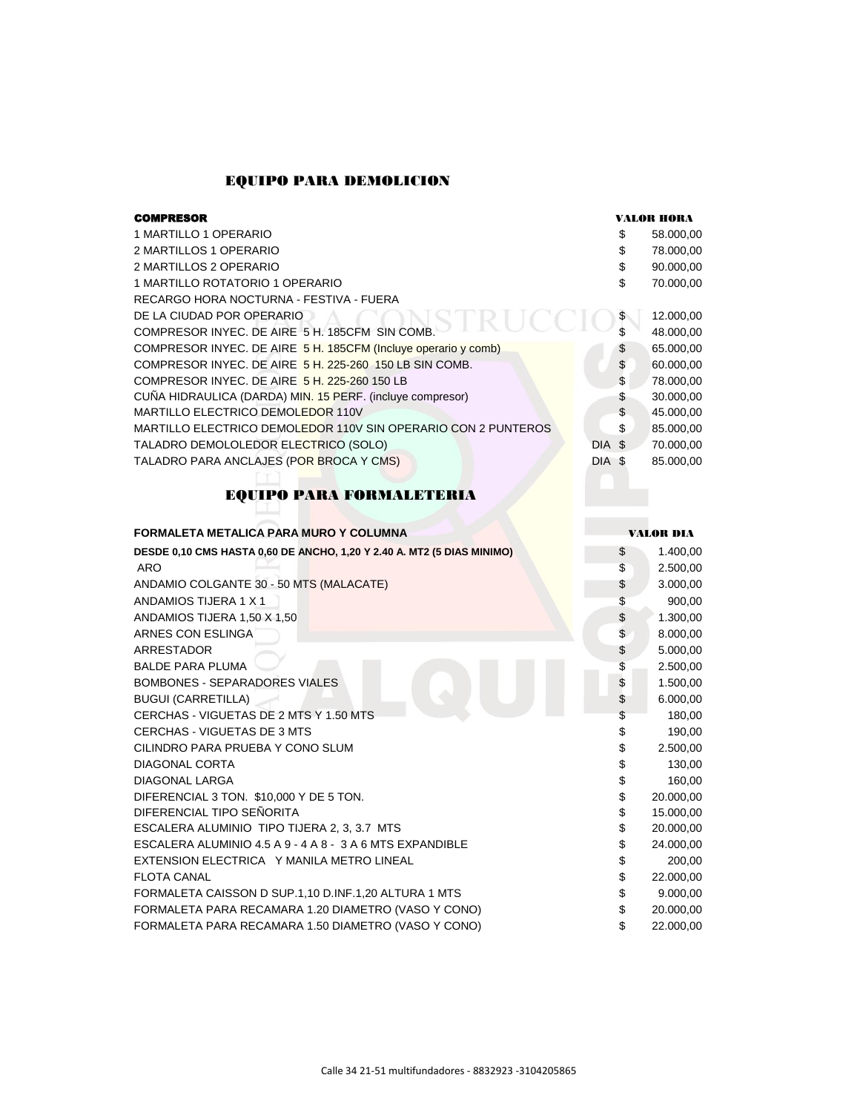#### EQUIPO PARA DEMOLICION

| <b>COMPRESOR</b>                                               |        |           |
|----------------------------------------------------------------|--------|-----------|
| 1 MARTILLO 1 OPERARIO                                          | S      | 58.000,00 |
| 2 MARTILLOS 1 OPERARIO                                         | S      | 78.000,00 |
| 2 MARTILLOS 2 OPERARIO                                         | \$     | 90.000,00 |
| 1 MARTILLO ROTATORIO 1 OPERARIO                                | \$     | 70.000,00 |
| RECARGO HORA NOCTURNA - FESTIVA - FUERA                        |        |           |
| DE LA CIUDAD POR OPERARIO                                      | \$     | 12.000,00 |
| COMPRESOR INYEC. DE AIRE 5 H. 185CFM SIN COMB.                 | \$     | 48.000,00 |
| COMPRESOR INYEC. DE AIRE 5 H. 185CFM (Incluye operario y comb) | \$     | 65.000,00 |
| COMPRESOR INYEC, DE AIRE 5 H, 225-260 150 LB SIN COMB.         | \$     | 60.000,00 |
| COMPRESOR INYEC. DE AIRE 5 H, 225-260 150 LB                   | \$     | 78.000,00 |
| CUÑA HIDRAULICA (DARDA) MIN. 15 PERF. (incluye compresor)      | \$     | 30.000,00 |
| MARTILLO ELECTRICO DEMOLEDOR 110V                              | \$     | 45.000,00 |
| MARTILLO ELECTRICO DEMOLEDOR 110V SIN OPERARIO CON 2 PUNTEROS  | \$     | 85.000,00 |
| TALADRO DEMOLOLEDOR ELECTRICO (SOLO)                           | DIA \$ | 70.000,00 |
| TALADRO PARA ANCLAJES (POR BROCA Y CMS)                        | DIA \$ | 85.000,00 |
|                                                                |        |           |

## EQUIPO PARA FORMALETERIA

| FORMALETA METALICA PARA MURO Y COLUMNA                                 |              | <b>VALOR DIA</b> |  |  |
|------------------------------------------------------------------------|--------------|------------------|--|--|
| DESDE 0,10 CMS HASTA 0,60 DE ANCHO, 1,20 Y 2.40 A. MT2 (5 DIAS MINIMO) | \$           | 1.400,00         |  |  |
| <b>ARO</b>                                                             | \$           | 2.500,00         |  |  |
| ANDAMIO COLGANTE 30 - 50 MTS (MALACATE)                                | \$           | 3.000,00         |  |  |
| ANDAMIOS TIJERA 1 X 1                                                  | \$           | 900,00           |  |  |
| ANDAMIOS TIJERA 1,50 X 1,50                                            | \$           | 1.300,00         |  |  |
| ARNES CON ESLINGA                                                      | \$           | 8.000,00         |  |  |
| <b>ARRESTADOR</b>                                                      | \$           | 5.000,00         |  |  |
| <b>BALDE PARA PLUMA</b>                                                | \$           | 2.500,00         |  |  |
| <b>BOMBONES - SEPARADORES VIALES</b>                                   | $\mathbb{S}$ | 1.500,00         |  |  |
| <b>BUGUI (CARRETILLA)</b>                                              | \$           | 6.000,00         |  |  |
| CERCHAS - VIGUETAS DE 2 MTS Y 1.50 MTS                                 | \$           | 180,00           |  |  |
| CERCHAS - VIGUETAS DE 3 MTS                                            | \$           | 190,00           |  |  |
| CILINDRO PARA PRUEBA Y CONO SLUM                                       | \$           | 2.500,00         |  |  |
| <b>DIAGONAL CORTA</b>                                                  | \$           | 130,00           |  |  |
| DIAGONAL LARGA                                                         | \$           | 160,00           |  |  |
| DIFERENCIAL 3 TON. \$10,000 Y DE 5 TON.                                | \$           | 20.000,00        |  |  |
| DIFERENCIAL TIPO SEÑORITA                                              | \$           | 15.000,00        |  |  |
| ESCALERA ALUMINIO TIPO TIJERA 2, 3, 3.7 MTS                            | \$           | 20.000,00        |  |  |
| ESCALERA ALUMINIO 4.5 A 9 - 4 A 8 - 3 A 6 MTS EXPANDIBLE               | \$           | 24.000,00        |  |  |
| EXTENSION ELECTRICA Y MANILA METRO LINEAL                              | \$           | 200,00           |  |  |
| <b>FLOTA CANAL</b>                                                     | \$           | 22.000,00        |  |  |
| FORMALETA CAISSON D SUP.1,10 D.INF.1,20 ALTURA 1 MTS                   | \$           | 9.000,00         |  |  |
| FORMALETA PARA RECAMARA 1.20 DIAMETRO (VASO Y CONO)                    | \$           | 20.000,00        |  |  |
| FORMALETA PARA RECAMARA 1.50 DIAMETRO (VASO Y CONO)                    | \$           | 22.000,00        |  |  |